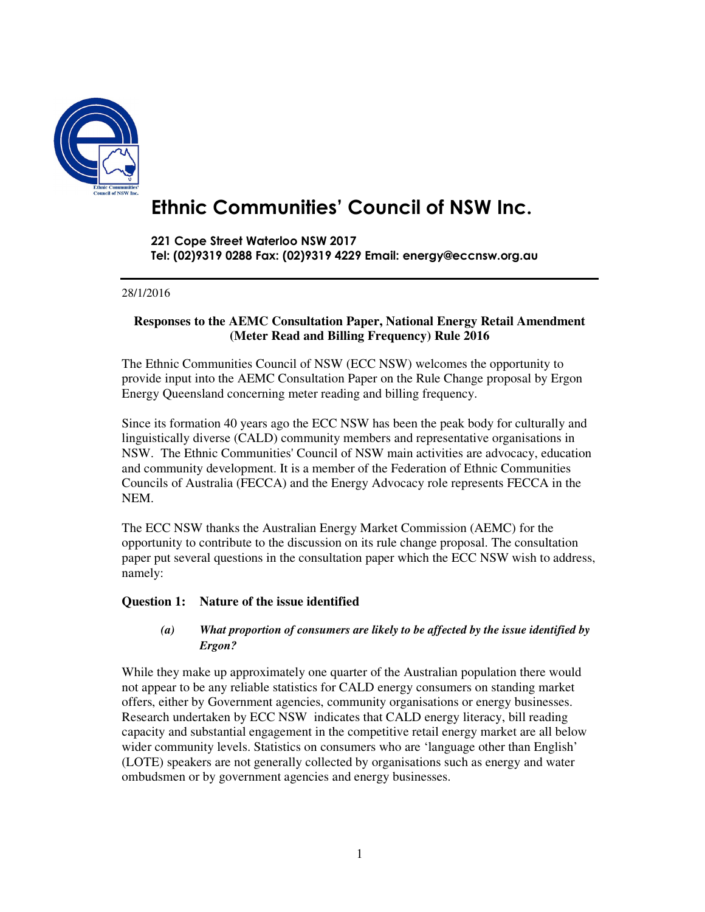

# **Ethnic Communities' Council of NSW Inc.**

**221 Cope Street Waterloo NSW 2017 Tel: (02)9319 0288 Fax: (02)9319 4229 Email: energy@eccnsw.org.au** 

#### 28/1/2016

#### **Responses to the AEMC Consultation Paper, National Energy Retail Amendment (Meter Read and Billing Frequency) Rule 2016**

The Ethnic Communities Council of NSW (ECC NSW) welcomes the opportunity to provide input into the AEMC Consultation Paper on the Rule Change proposal by Ergon Energy Queensland concerning meter reading and billing frequency.

Since its formation 40 years ago the ECC NSW has been the peak body for culturally and linguistically diverse (CALD) community members and representative organisations in NSW. The Ethnic Communities' Council of NSW main activities are advocacy, education and community development. It is a member of the Federation of Ethnic Communities Councils of Australia (FECCA) and the Energy Advocacy role represents FECCA in the NEM.

The ECC NSW thanks the Australian Energy Market Commission (AEMC) for the opportunity to contribute to the discussion on its rule change proposal. The consultation paper put several questions in the consultation paper which the ECC NSW wish to address, namely:

#### **Question 1: Nature of the issue identified**

#### *(a) What proportion of consumers are likely to be affected by the issue identified by Ergon?*

While they make up approximately one quarter of the Australian population there would not appear to be any reliable statistics for CALD energy consumers on standing market offers, either by Government agencies, community organisations or energy businesses. Research undertaken by ECC NSW indicates that CALD energy literacy, bill reading capacity and substantial engagement in the competitive retail energy market are all below wider community levels. Statistics on consumers who are 'language other than English' (LOTE) speakers are not generally collected by organisations such as energy and water ombudsmen or by government agencies and energy businesses.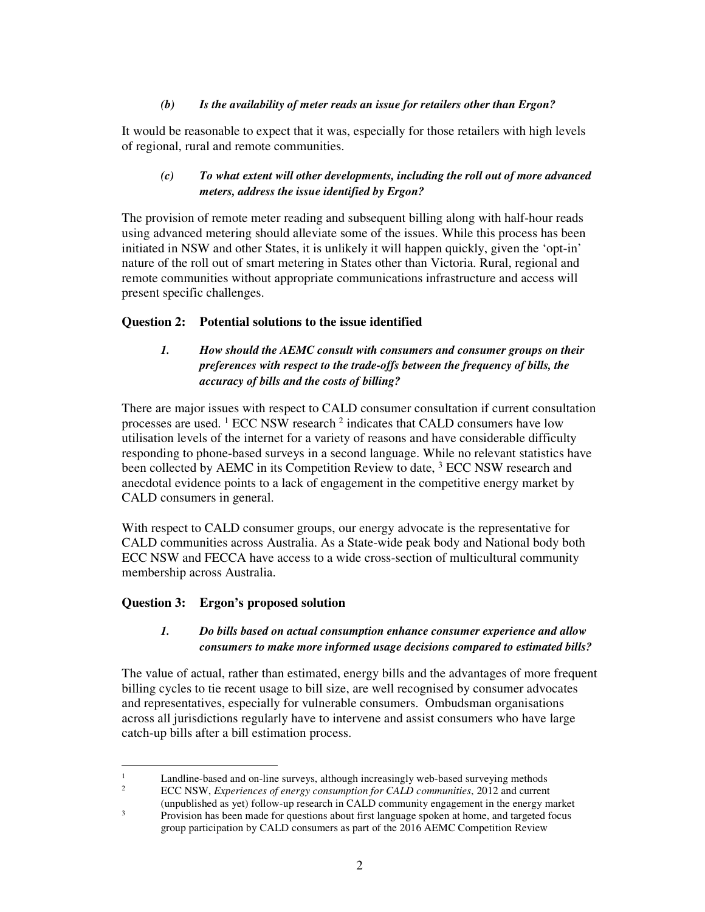#### *(b) Is the availability of meter reads an issue for retailers other than Ergon?*

It would be reasonable to expect that it was, especially for those retailers with high levels of regional, rural and remote communities.

#### *(c) To what extent will other developments, including the roll out of more advanced meters, address the issue identified by Ergon?*

The provision of remote meter reading and subsequent billing along with half-hour reads using advanced metering should alleviate some of the issues. While this process has been initiated in NSW and other States, it is unlikely it will happen quickly, given the 'opt-in' nature of the roll out of smart metering in States other than Victoria. Rural, regional and remote communities without appropriate communications infrastructure and access will present specific challenges.

#### **Question 2: Potential solutions to the issue identified**

## *1. How should the AEMC consult with consumers and consumer groups on their preferences with respect to the trade-offs between the frequency of bills, the accuracy of bills and the costs of billing?*

There are major issues with respect to CALD consumer consultation if current consultation processes are used.  $1$  ECC NSW research  $2$  indicates that CALD consumers have low utilisation levels of the internet for a variety of reasons and have considerable difficulty responding to phone-based surveys in a second language. While no relevant statistics have been collected by AEMC in its Competition Review to date, <sup>3</sup> ECC NSW research and anecdotal evidence points to a lack of engagement in the competitive energy market by CALD consumers in general.

With respect to CALD consumer groups, our energy advocate is the representative for CALD communities across Australia. As a State-wide peak body and National body both ECC NSW and FECCA have access to a wide cross-section of multicultural community membership across Australia.

#### **Question 3: Ergon's proposed solution**

#### *1. Do bills based on actual consumption enhance consumer experience and allow consumers to make more informed usage decisions compared to estimated bills?*

The value of actual, rather than estimated, energy bills and the advantages of more frequent billing cycles to tie recent usage to bill size, are well recognised by consumer advocates and representatives, especially for vulnerable consumers. Ombudsman organisations across all jurisdictions regularly have to intervene and assist consumers who have large catch-up bills after a bill estimation process.

 $\frac{1}{1}$  Landline-based and on-line surveys, although increasingly web-based surveying methods 2

ECC NSW, *Experiences of energy consumption for CALD communities*, 2012 and current (unpublished as yet) follow-up research in CALD community engagement in the energy market

<sup>3</sup> Provision has been made for questions about first language spoken at home, and targeted focus group participation by CALD consumers as part of the 2016 AEMC Competition Review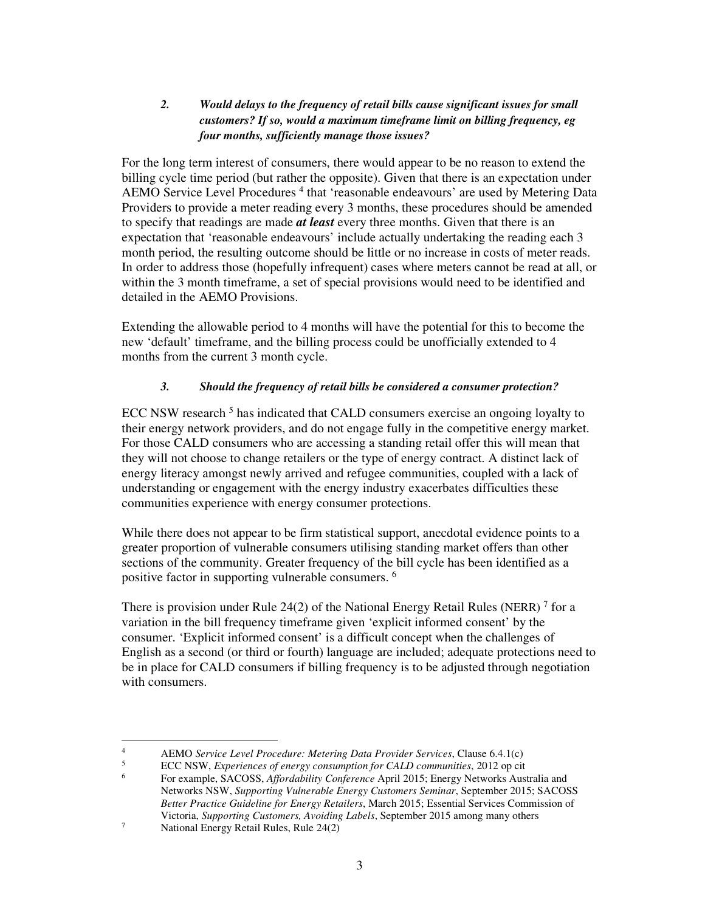## *2. Would delays to the frequency of retail bills cause significant issues for small customers? If so, would a maximum timeframe limit on billing frequency, eg four months, sufficiently manage those issues?*

For the long term interest of consumers, there would appear to be no reason to extend the billing cycle time period (but rather the opposite). Given that there is an expectation under AEMO Service Level Procedures<sup>4</sup> that 'reasonable endeavours' are used by Metering Data Providers to provide a meter reading every 3 months, these procedures should be amended to specify that readings are made *at least* every three months. Given that there is an expectation that 'reasonable endeavours' include actually undertaking the reading each 3 month period, the resulting outcome should be little or no increase in costs of meter reads. In order to address those (hopefully infrequent) cases where meters cannot be read at all, or within the 3 month timeframe, a set of special provisions would need to be identified and detailed in the AEMO Provisions.

Extending the allowable period to 4 months will have the potential for this to become the new 'default' timeframe, and the billing process could be unofficially extended to 4 months from the current 3 month cycle.

## *3. Should the frequency of retail bills be considered a consumer protection?*

ECC NSW research<sup>5</sup> has indicated that CALD consumers exercise an ongoing loyalty to their energy network providers, and do not engage fully in the competitive energy market. For those CALD consumers who are accessing a standing retail offer this will mean that they will not choose to change retailers or the type of energy contract. A distinct lack of energy literacy amongst newly arrived and refugee communities, coupled with a lack of understanding or engagement with the energy industry exacerbates difficulties these communities experience with energy consumer protections.

While there does not appear to be firm statistical support, anecdotal evidence points to a greater proportion of vulnerable consumers utilising standing market offers than other sections of the community. Greater frequency of the bill cycle has been identified as a positive factor in supporting vulnerable consumers. <sup>6</sup>

There is provision under Rule 24(2) of the National Energy Retail Rules (NERR)<sup>7</sup> for a variation in the bill frequency timeframe given 'explicit informed consent' by the consumer. 'Explicit informed consent' is a difficult concept when the challenges of English as a second (or third or fourth) language are included; adequate protections need to be in place for CALD consumers if billing frequency is to be adjusted through negotiation with consumers.

 $\frac{1}{4}$ AEMO *Service Level Procedure: Metering Data Provider Services*, Clause 6.4.1(c)

<sup>5</sup> ECC NSW, *Experiences of energy consumption for CALD communities*, 2012 op cit

<sup>6</sup> For example, SACOSS, *Affordability Conference* April 2015; Energy Networks Australia and Networks NSW, *Supporting Vulnerable Energy Customers Seminar*, September 2015; SACOSS *Better Practice Guideline for Energy Retailers*, March 2015; Essential Services Commission of Victoria, *Supporting Customers, Avoiding Labels*, September 2015 among many others

<sup>7</sup> National Energy Retail Rules, Rule 24(2)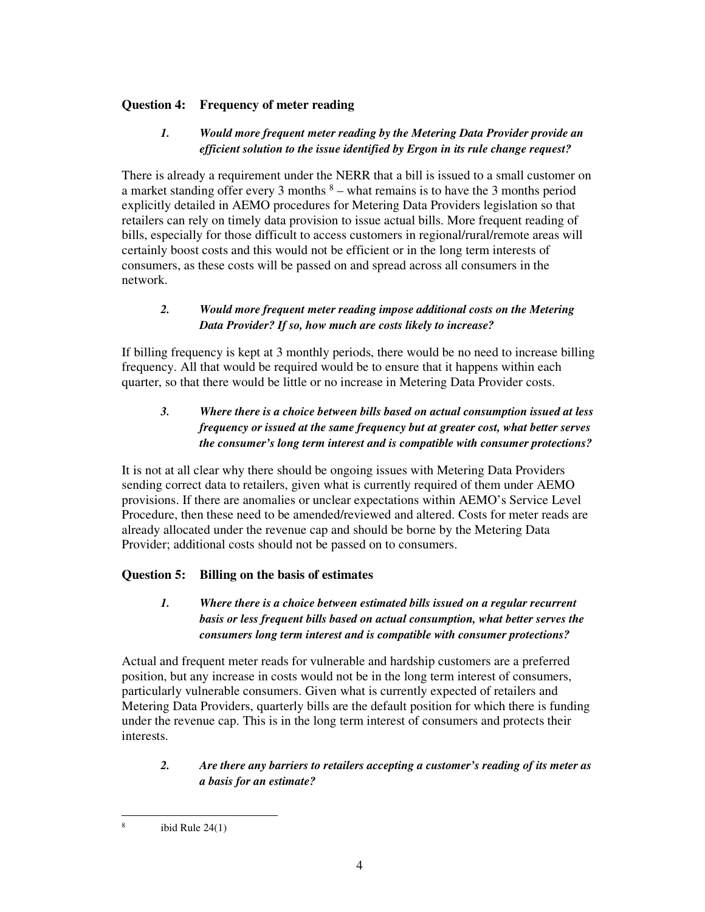## **Question 4: Frequency of meter reading**

## *1. Would more frequent meter reading by the Metering Data Provider provide an efficient solution to the issue identified by Ergon in its rule change request?*

There is already a requirement under the NERR that a bill is issued to a small customer on a market standing offer every 3 months  $8 -$  what remains is to have the 3 months period explicitly detailed in AEMO procedures for Metering Data Providers legislation so that retailers can rely on timely data provision to issue actual bills. More frequent reading of bills, especially for those difficult to access customers in regional/rural/remote areas will certainly boost costs and this would not be efficient or in the long term interests of consumers, as these costs will be passed on and spread across all consumers in the network.

## *2. Would more frequent meter reading impose additional costs on the Metering Data Provider? If so, how much are costs likely to increase?*

If billing frequency is kept at 3 monthly periods, there would be no need to increase billing frequency. All that would be required would be to ensure that it happens within each quarter, so that there would be little or no increase in Metering Data Provider costs.

## *3. Where there is a choice between bills based on actual consumption issued at less frequency or issued at the same frequency but at greater cost, what better serves the consumer's long term interest and is compatible with consumer protections?*

It is not at all clear why there should be ongoing issues with Metering Data Providers sending correct data to retailers, given what is currently required of them under AEMO provisions. If there are anomalies or unclear expectations within AEMO's Service Level Procedure, then these need to be amended/reviewed and altered. Costs for meter reads are already allocated under the revenue cap and should be borne by the Metering Data Provider; additional costs should not be passed on to consumers.

## **Question 5: Billing on the basis of estimates**

## *1. Where there is a choice between estimated bills issued on a regular recurrent basis or less frequent bills based on actual consumption, what better serves the consumers long term interest and is compatible with consumer protections?*

Actual and frequent meter reads for vulnerable and hardship customers are a preferred position, but any increase in costs would not be in the long term interest of consumers, particularly vulnerable consumers. Given what is currently expected of retailers and Metering Data Providers, quarterly bills are the default position for which there is funding under the revenue cap. This is in the long term interest of consumers and protects their interests.

## *2. Are there any barriers to retailers accepting a customer's reading of its meter as a basis for an estimate?*

 8 ibid Rule 24(1)